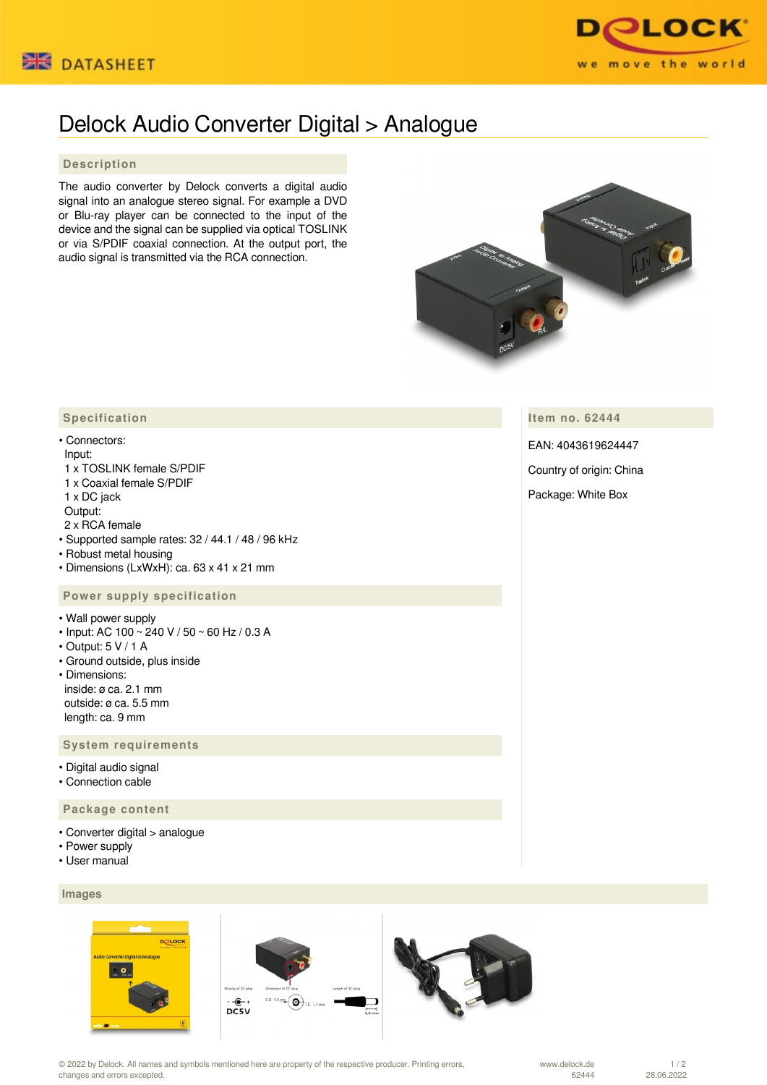



## Delock Audio Converter Digital > Analogue

## **Description**

The audio converter by Delock converts a digital audio signal into an analogue stereo signal. For example a DVD or Blu-ray player can be connected to the input of the device and the signal can be supplied via optical TOSLINK or via S/PDIF coaxial connection. At the output port, the audio signal is transmitted via the RCA connection.



**Item no. 62444**

EAN: 4043619624447

Country of origin: China

Package: White Box

## **Specification**

• Connectors: Input: 1 x TOSLINK female S/PDIF

 1 x Coaxial female S/PDIF 1 x DC jack

Output:

2 x RCA female

- Supported sample rates: 32 / 44.1 / 48 / 96 kHz
- Robust metal housing
- Dimensions (LxWxH): ca. 63 x 41 x 21 mm

## **Power supply specification**

• Wall power supply

- Input: AC 100 ~ 240 V / 50 ~ 60 Hz / 0.3 A
- Output: 5 V / 1 A
- Ground outside, plus inside
- Dimensions: inside: ø ca. 2.1 mm outside: ø ca. 5.5 mm length: ca. 9 mm

 **System requirements**

- Digital audio signal
- Connection cable

 **Package content**

- Converter digital > analogue
- Power supply
- User manual

 **Images**







© 2022 by Delock. All names and symbols mentioned here are property of the respective producer. Printing errors, changes and errors excepted.